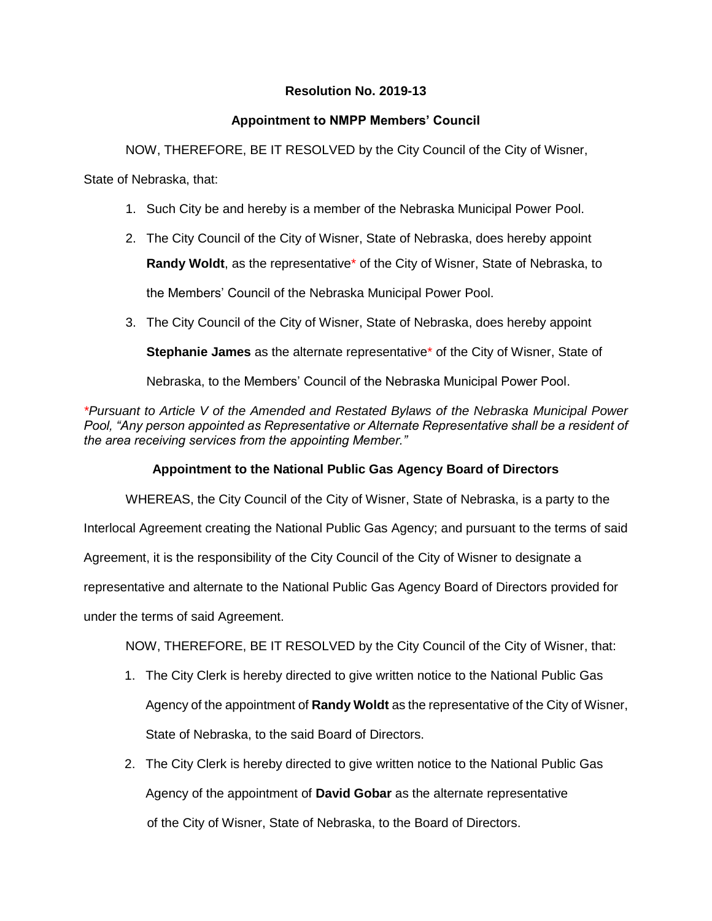## **Resolution No. 2019-13**

## **Appointment to NMPP Members' Council**

NOW, THEREFORE, BE IT RESOLVED by the City Council of the City of Wisner,

State of Nebraska, that:

- 1. Such City be and hereby is a member of the Nebraska Municipal Power Pool.
- 2. The City Council of the City of Wisner, State of Nebraska, does hereby appoint **Randy Woldt**, as the representative\* of the City of Wisner, State of Nebraska, to the Members' Council of the Nebraska Municipal Power Pool.
- 3. The City Council of the City of Wisner, State of Nebraska, does hereby appoint

**Stephanie James** as the alternate representative\* of the City of Wisner, State of

Nebraska, to the Members' Council of the Nebraska Municipal Power Pool.

*\*Pursuant to Article V of the Amended and Restated Bylaws of the Nebraska Municipal Power*  Pool, "Any person appointed as Representative or Alternate Representative shall be a resident of *the area receiving services from the appointing Member."*

## **Appointment to the National Public Gas Agency Board of Directors**

WHEREAS, the City Council of the City of Wisner, State of Nebraska, is a party to the

Interlocal Agreement creating the National Public Gas Agency; and pursuant to the terms of said

Agreement, it is the responsibility of the City Council of the City of Wisner to designate a

representative and alternate to the National Public Gas Agency Board of Directors provided for

under the terms of said Agreement.

NOW, THEREFORE, BE IT RESOLVED by the City Council of the City of Wisner, that:

- 1. The City Clerk is hereby directed to give written notice to the National Public Gas Agency of the appointment of **Randy Woldt** as the representative of the City of Wisner, State of Nebraska, to the said Board of Directors.
- 2. The City Clerk is hereby directed to give written notice to the National Public Gas Agency of the appointment of **David Gobar** as the alternate representative of the City of Wisner, State of Nebraska, to the Board of Directors.